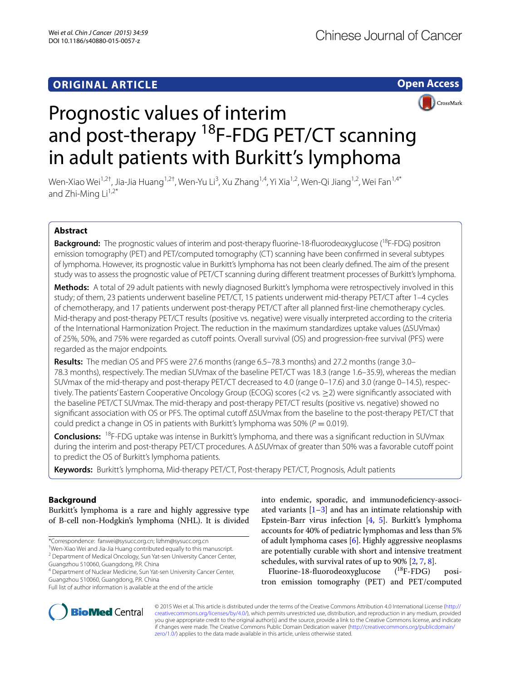**Open Access**

CrossMark

# Prognostic values of interim and post-therapy <sup>18</sup>F-FDG PET/CT scanning in adult patients with Burkitt's lymphoma

Wen-Xiao Wei<sup>1,2†</sup>, Jia-Jia Huang<sup>1,2†</sup>, Wen-Yu Li<sup>3</sup>, Xu Zhang<sup>1,4</sup>, Yi Xia<sup>1,2</sup>, Wen-Qi Jiang<sup>1,2</sup>, Wei Fan<sup>1,4\*</sup> and Zhi-Ming  $Li^{1,2*}$ 

# **Abstract**

**Background:** The prognostic values of interim and post-therapy fluorine-18-fluorodeoxyglucose (<sup>18</sup>F-FDG) positron emission tomography (PET) and PET/computed tomography (CT) scanning have been confirmed in several subtypes of lymphoma. However, its prognostic value in Burkitt's lymphoma has not been clearly defined. The aim of the present study was to assess the prognostic value of PET/CT scanning during different treatment processes of Burkitt's lymphoma.

**Methods:** A total of 29 adult patients with newly diagnosed Burkitt's lymphoma were retrospectively involved in this study; of them, 23 patients underwent baseline PET/CT, 15 patients underwent mid-therapy PET/CT after 1–4 cycles of chemotherapy, and 17 patients underwent post-therapy PET/CT after all planned first-line chemotherapy cycles. Mid-therapy and post-therapy PET/CT results (positive vs. negative) were visually interpreted according to the criteria of the International Harmonization Project. The reduction in the maximum standardizes uptake values (∆SUVmax) of 25%, 50%, and 75% were regarded as cutoff points. Overall survival (OS) and progression-free survival (PFS) were regarded as the major endpoints.

**Results:** The median OS and PFS were 27.6 months (range 6.5–78.3 months) and 27.2 months (range 3.0– 78.3 months), respectively. The median SUVmax of the baseline PET/CT was 18.3 (range 1.6–35.9), whereas the median SUVmax of the mid-therapy and post-therapy PET/CT decreased to 4.0 (range 0–17.6) and 3.0 (range 0–14.5), respec‑ tively. The patients' Eastern Cooperative Oncology Group (ECOG) scores (<2 vs. ≥2) were significantly associated with the baseline PET/CT SUVmax. The mid-therapy and post-therapy PET/CT results (positive vs. negative) showed no significant association with OS or PFS. The optimal cutoff ∆SUVmax from the baseline to the post-therapy PET/CT that could predict a change in OS in patients with Burkitt's lymphoma was 50% ( $P = 0.019$ ).

**Conclusions:** 18F-FDG uptake was intense in Burkitt's lymphoma, and there was a significant reduction in SUVmax during the interim and post-therapy PET/CT procedures. A ∆SUVmax of greater than 50% was a favorable cutoff point to predict the OS of Burkitt's lymphoma patients.

**Keywords:** Burkitt's lymphoma, Mid-therapy PET/CT, Post-therapy PET/CT, Prognosis, Adult patients

## **Background**

Burkitt's lymphoma is a rare and highly aggressive type of B-cell non-Hodgkin's lymphoma (NHL). It is divided

\*Correspondence: fanwei@sysucc.org.cn; lizhm@sysucc.org.cn

† Wen-Xiao Wei and Jia-Jia Huang contributed equally to this manuscript. <sup>2</sup> Department of Medical Oncology, Sun Yat-sen University Cancer Center,

Guangzhou 510060, Guangdong, P.R. China <sup>4</sup> Department of Nuclear Medicine, Sun Yat-sen University Cancer Center,

Guangzhou 510060, Guangdong, P.R. China



Fluorine-18-fluorodeoxyglucose (<sup>18</sup>F-FDG) positron emission tomography (PET) and PET/computed



© 2015 Wei et al. This article is distributed under the terms of the Creative Commons Attribution 4.0 International License [\(http://](http://creativecommons.org/licenses/by/4.0/) [creativecommons.org/licenses/by/4.0/](http://creativecommons.org/licenses/by/4.0/)), which permits unrestricted use, distribution, and reproduction in any medium, provided you give appropriate credit to the original author(s) and the source, provide a link to the Creative Commons license, and indicate if changes were made. The Creative Commons Public Domain Dedication waiver ([http://creativecommons.org/publicdomain/](http://creativecommons.org/publicdomain/zero/1.0/) [zero/1.0/](http://creativecommons.org/publicdomain/zero/1.0/)) applies to the data made available in this article, unless otherwise stated.

Full list of author information is available at the end of the article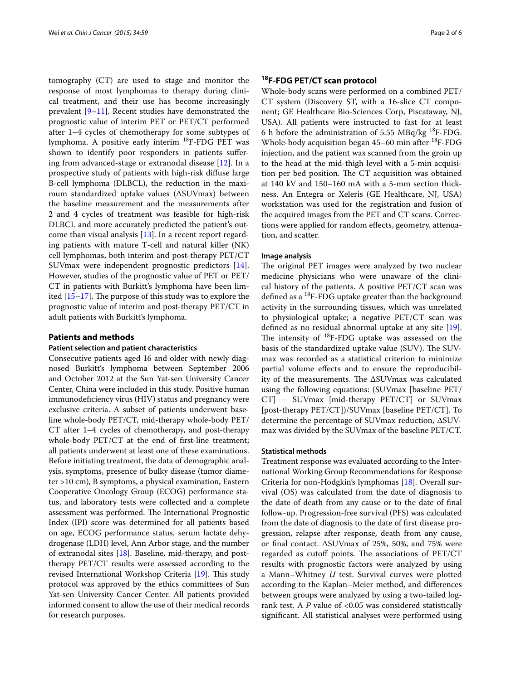tomography (CT) are used to stage and monitor the response of most lymphomas to therapy during clinical treatment, and their use has become increasingly prevalent [[9–](#page-5-8)[11](#page-5-9)]. Recent studies have demonstrated the prognostic value of interim PET or PET/CT performed after 1–4 cycles of chemotherapy for some subtypes of lymphoma. A positive early interim 18F-FDG PET was shown to identify poor responders in patients suffering from advanced-stage or extranodal disease [[12\]](#page-5-10). In a prospective study of patients with high-risk diffuse large B-cell lymphoma (DLBCL), the reduction in the maximum standardized uptake values (∆SUVmax) between the baseline measurement and the measurements after 2 and 4 cycles of treatment was feasible for high-risk DLBCL and more accurately predicted the patient's outcome than visual analysis  $[13]$  $[13]$ . In a recent report regarding patients with mature T-cell and natural killer (NK) cell lymphomas, both interim and post-therapy PET/CT SUVmax were independent prognostic predictors [\[14](#page-5-12)]. However, studies of the prognostic value of PET or PET/ CT in patients with Burkitt's lymphoma have been limited [[15–](#page-5-13)[17](#page-5-14)]. The purpose of this study was to explore the prognostic value of interim and post-therapy PET/CT in adult patients with Burkitt's lymphoma.

## **Patients and methods**

#### **Patient selection and patient characteristics**

Consecutive patients aged 16 and older with newly diagnosed Burkitt's lymphoma between September 2006 and October 2012 at the Sun Yat-sen University Cancer Center, China were included in this study. Positive human immunodeficiency virus (HIV) status and pregnancy were exclusive criteria. A subset of patients underwent baseline whole-body PET/CT, mid-therapy whole-body PET/ CT after 1–4 cycles of chemotherapy, and post-therapy whole-body PET/CT at the end of first-line treatment; all patients underwent at least one of these examinations. Before initiating treatment, the data of demographic analysis, symptoms, presence of bulky disease (tumor diameter >10 cm), B symptoms, a physical examination, Eastern Cooperative Oncology Group (ECOG) performance status, and laboratory tests were collected and a complete assessment was performed. The International Prognostic Index (IPI) score was determined for all patients based on age, ECOG performance status, serum lactate dehydrogenase (LDH) level, Ann Arbor stage, and the number of extranodal sites [[18](#page-5-15)]. Baseline, mid-therapy, and posttherapy PET/CT results were assessed according to the revised International Workshop Criteria [\[19](#page-5-16)]. This study protocol was approved by the ethics committees of Sun Yat-sen University Cancer Center. All patients provided informed consent to allow the use of their medical records for research purposes.

## **18F‑FDG PET/CT scan protocol**

Whole-body scans were performed on a combined PET/ CT system (Discovery ST, with a 16-slice CT component; GE Healthcare Bio-Sciences Corp, Piscataway, NJ, USA). All patients were instructed to fast for at least 6 h before the administration of 5.55 MBq/kg  $^{18}$ F-FDG. Whole-body acquisition began 45–60 min after 18F-FDG injection, and the patient was scanned from the groin up to the head at the mid-thigh level with a 5-min acquisition per bed position. The CT acquisition was obtained at 140 kV and 150–160 mA with a 5-mm section thickness. An Entegra or Xeleris (GE Healthcare, NJ, USA) workstation was used for the registration and fusion of the acquired images from the PET and CT scans. Corrections were applied for random effects, geometry, attenuation, and scatter.

#### **Image analysis**

The original PET images were analyzed by two nuclear medicine physicians who were unaware of the clinical history of the patients. A positive PET/CT scan was defined as a  $^{18}$ F-FDG uptake greater than the background activity in the surrounding tissues, which was unrelated to physiological uptake; a negative PET/CT scan was defined as no residual abnormal uptake at any site [\[19](#page-5-16)]. The intensity of  $^{18}$ F-FDG uptake was assessed on the basis of the standardized uptake value (SUV). The SUVmax was recorded as a statistical criterion to minimize partial volume effects and to ensure the reproducibility of the measurements. The ∆SUVmax was calculated using the following equations: (SUVmax [baseline PET/ CT] − SUVmax [mid-therapy PET/CT] or SUVmax [post-therapy PET/CT])/SUVmax [baseline PET/CT]. To determine the percentage of SUVmax reduction, ∆SUVmax was divided by the SUVmax of the baseline PET/CT.

#### **Statistical methods**

Treatment response was evaluated according to the International Working Group Recommendations for Response Criteria for non-Hodgkin's lymphomas [\[18\]](#page-5-15). Overall survival (OS) was calculated from the date of diagnosis to the date of death from any cause or to the date of final follow-up. Progression-free survival (PFS) was calculated from the date of diagnosis to the date of first disease progression, relapse after response, death from any cause, or final contact. ∆SUVmax of 25%, 50%, and 75% were regarded as cutoff points. The associations of PET/CT results with prognostic factors were analyzed by using a Mann–Whitney *U* test. Survival curves were plotted according to the Kaplan–Meier method, and differences between groups were analyzed by using a two-tailed logrank test. A *P* value of <0.05 was considered statistically significant. All statistical analyses were performed using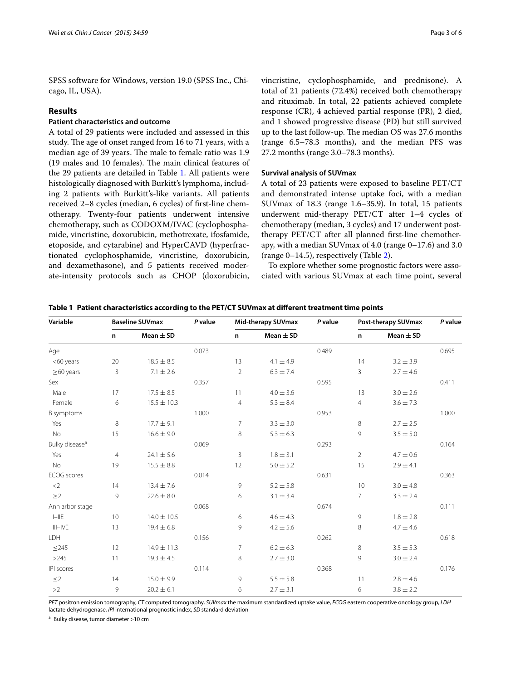SPSS software for Windows, version 19.0 (SPSS Inc., Chicago, IL, USA).

## **Results**

#### **Patient characteristics and outcome**

A total of 29 patients were included and assessed in this study. The age of onset ranged from 16 to 71 years, with a median age of 39 years. The male to female ratio was 1.9 (19 males and 10 females). The main clinical features of the 29 patients are detailed in Table [1.](#page-2-0) All patients were histologically diagnosed with Burkitt's lymphoma, including 2 patients with Burkitt's-like variants. All patients received 2–8 cycles (median, 6 cycles) of first-line chemotherapy. Twenty-four patients underwent intensive chemotherapy, such as CODOXM/IVAC (cyclophosphamide, vincristine, doxorubicin, methotrexate, ifosfamide, etoposide, and cytarabine) and HyperCAVD (hyperfractionated cyclophosphamide, vincristine, doxorubicin, and dexamethasone), and 5 patients received moderate-intensity protocols such as CHOP (doxorubicin,

vincristine, cyclophosphamide, and prednisone). A total of 21 patients (72.4%) received both chemotherapy and rituximab. In total, 22 patients achieved complete response (CR), 4 achieved partial response (PR), 2 died, and 1 showed progressive disease (PD) but still survived up to the last follow-up. The median OS was 27.6 months (range 6.5–78.3 months), and the median PFS was 27.2 months (range 3.0–78.3 months).

### **Survival analysis of SUVmax**

A total of 23 patients were exposed to baseline PET/CT and demonstrated intense uptake foci, with a median SUVmax of 18.3 (range 1.6–35.9). In total, 15 patients underwent mid-therapy PET/CT after 1–4 cycles of chemotherapy (median, 3 cycles) and 17 underwent posttherapy PET/CT after all planned first-line chemotherapy, with a median SUVmax of 4.0 (range 0–17.6) and 3.0 (range 0–14.5), respectively (Table [2](#page-3-0)).

To explore whether some prognostic factors were associated with various SUVmax at each time point, several

<span id="page-2-0"></span>

| Table 1 Patient characteristics according to the PET/CT SUVmax at different treatment time points |  |  |  |  |  |  |
|---------------------------------------------------------------------------------------------------|--|--|--|--|--|--|
|---------------------------------------------------------------------------------------------------|--|--|--|--|--|--|

| Variable                   | <b>Baseline SUVmax</b> |                 | P value | Mid-therapy SUVmax |               | P value | Post-therapy SUVmax |               | P value |
|----------------------------|------------------------|-----------------|---------|--------------------|---------------|---------|---------------------|---------------|---------|
|                            | n                      | Mean $\pm$ SD   |         | n                  | Mean $\pm$ SD |         | n                   | Mean $\pm$ SD |         |
| Age                        |                        |                 | 0.073   |                    |               | 0.489   |                     |               | 0.695   |
| <60 years                  | 20                     | $18.5 \pm 8.5$  |         | 13                 | $4.1 \pm 4.9$ |         | 14                  | $3.2 \pm 3.9$ |         |
| $\geq$ 60 years            | 3                      | $7.1 \pm 2.6$   |         | $\overline{2}$     | $6.3 \pm 7.4$ |         | 3                   | $2.7 \pm 4.6$ |         |
| Sex                        |                        |                 | 0.357   |                    |               | 0.595   |                     |               | 0.411   |
| Male                       | 17                     | $17.5 \pm 8.5$  |         | 11                 | $4.0 \pm 3.6$ |         | 13                  | $3.0 \pm 2.6$ |         |
| Female                     | 6                      | $15.5 \pm 10.3$ |         | $\overline{4}$     | $5.3 \pm 8.4$ |         | 4                   | $3.6 \pm 7.3$ |         |
| B symptoms                 |                        |                 | 1.000   |                    |               | 0.953   |                     |               | 1.000   |
| Yes                        | 8                      | $17.7 \pm 9.1$  |         | $\overline{7}$     | $3.3 \pm 3.0$ |         | 8                   | $2.7 \pm 2.5$ |         |
| <b>No</b>                  | 15                     | $16.6 \pm 9.0$  |         | 8                  | $5.3 \pm 6.3$ |         | 9                   | $3.5\pm5.0$   |         |
| Bulky disease <sup>a</sup> |                        |                 | 0.069   |                    |               | 0.293   |                     |               | 0.164   |
| Yes                        | $\overline{4}$         | $24.1 \pm 5.6$  |         | 3                  | $1.8 \pm 3.1$ |         | $\overline{2}$      | $4.7 \pm 0.6$ |         |
| <b>No</b>                  | 19                     | $15.5 \pm 8.8$  |         | 12                 | $5.0 \pm 5.2$ |         | 15                  | $2.9 \pm 4.1$ |         |
| <b>ECOG</b> scores         |                        |                 | 0.014   |                    |               | 0.631   |                     |               | 0.363   |
| $<$ 2                      | 14                     | $13.4 \pm 7.6$  |         | 9                  | $5.2 \pm 5.8$ |         | 10                  | $3.0 \pm 4.8$ |         |
| $\geq$ 2                   | 9                      | $22.6 \pm 8.0$  |         | 6                  | $3.1 \pm 3.4$ |         | 7                   | $3.3 \pm 2.4$ |         |
| Ann arbor stage            |                        |                 | 0.068   |                    |               | 0.674   |                     |               | 0.111   |
| $I=IIE$                    | 10                     | $14.0 \pm 10.5$ |         | 6                  | $4.6 \pm 4.3$ |         | 9                   | $1.8 \pm 2.8$ |         |
| $III-IVE$                  | 13                     | $19.4 \pm 6.8$  |         | 9                  | $4.2 \pm 5.6$ |         | 8                   | $4.7 \pm 4.6$ |         |
| LDH                        |                        |                 | 0.156   |                    |               | 0.262   |                     |               | 0.618   |
| $\leq$ 245                 | 12                     | $14.9 \pm 11.3$ |         | 7                  | $6.2 \pm 6.3$ |         | 8                   | $3.5 \pm 5.3$ |         |
| >245                       | 11                     | $19.3 \pm 4.5$  |         | 8                  | $2.7 \pm 3.0$ |         | 9                   | $3.0 \pm 2.4$ |         |
| IPI scores                 |                        |                 | 0.114   |                    |               | 0.368   |                     |               | 0.176   |
| $\leq$ 2                   | 14                     | $15.0 \pm 9.9$  |         | 9                  | $5.5 \pm 5.8$ |         | 11                  | $2.8 \pm 4.6$ |         |
| >2                         | 9                      | $20.2 \pm 6.1$  |         | 6                  | $2.7 \pm 3.1$ |         | 6                   | $3.8 \pm 2.2$ |         |

*PET* positron emission tomography, *CT* computed tomography, *SUVmax* the maximum standardized uptake value, *ECOG* eastern cooperative oncology group, *LDH* lactate dehydrogenase, *IPI* international prognostic index, *SD* standard deviation

<sup>a</sup> Bulky disease, tumor diameter >10 cm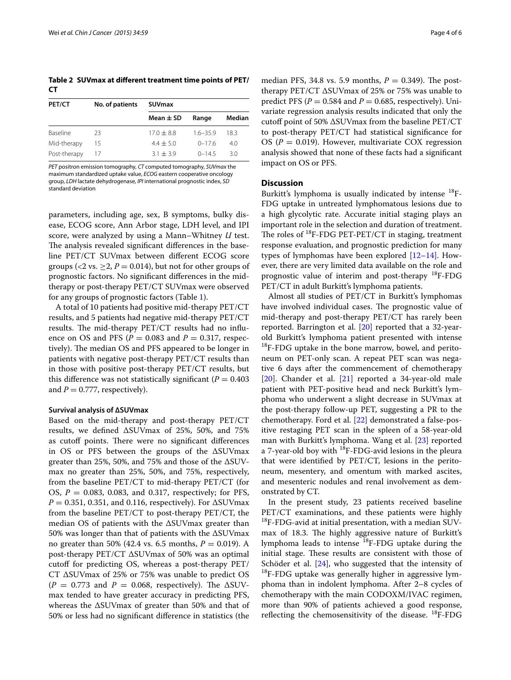<span id="page-3-0"></span>**Table 2 SUVmax at different treatment time points of PET/ CT**

| PET/CT       | No. of patients | <b>SUVmax</b> |            |        |  |
|--------------|-----------------|---------------|------------|--------|--|
|              |                 | Mean $\pm$ SD | Range      | Median |  |
| Baseline     | フ3              | $17.0 + 8.8$  | $16 - 359$ | 183    |  |
| Mid-therapy  | 15              | $4.4 + 5.0$   | $0 - 176$  | 4.0    |  |
| Post-therapy | 17              | $3.1 + 3.9$   | $0 - 145$  | 3 O    |  |

*PET* positron emission tomography, *CT* computed tomography, *SUVmax* the maximum standardized uptake value, *ECOG* eastern cooperative oncology group, *LDH* lactate dehydrogenase, *IPI* international prognostic index, *SD* standard deviation

parameters, including age, sex, B symptoms, bulky disease, ECOG score, Ann Arbor stage, LDH level, and IPI score, were analyzed by using a Mann–Whitney *U* test. The analysis revealed significant differences in the baseline PET/CT SUVmax between different ECOG score groups ( $\langle 2 \text{ vs. } \geq 2, P = 0.014$ ), but not for other groups of prognostic factors. No significant differences in the midtherapy or post-therapy PET/CT SUVmax were observed for any groups of prognostic factors (Table [1](#page-2-0)).

A total of 10 patients had positive mid-therapy PET/CT results, and 5 patients had negative mid-therapy PET/CT results. The mid-therapy PET/CT results had no influence on OS and PFS ( $P = 0.083$  and  $P = 0.317$ , respectively). The median OS and PFS appeared to be longer in patients with negative post-therapy PET/CT results than in those with positive post-therapy PET/CT results, but this difference was not statistically significant ( $P = 0.403$ ) and  $P = 0.777$ , respectively).

#### **Survival analysis of ∆SUVmax**

Based on the mid-therapy and post-therapy PET/CT results, we defined ∆SUVmax of 25%, 50%, and 75% as cutoff points. There were no significant differences in OS or PFS between the groups of the ∆SUVmax greater than 25%, 50%, and 75% and those of the ∆SUVmax no greater than 25%, 50%, and 75%, respectively, from the baseline PET/CT to mid-therapy PET/CT (for OS, *P* = 0.083, 0.083, and 0.317, respectively; for PFS, *P* = 0.351, 0.351, and 0.116, respectively). For ∆SUVmax from the baseline PET/CT to post-therapy PET/CT, the median OS of patients with the ∆SUVmax greater than 50% was longer than that of patients with the ∆SUVmax no greater than 50% (42.4 vs. 6.5 months, *P* = 0.019). A post-therapy PET/CT ∆SUVmax of 50% was an optimal cutoff for predicting OS, whereas a post-therapy PET/ CT ∆SUVmax of 25% or 75% was unable to predict OS  $(P = 0.773$  and  $P = 0.068$ , respectively). The  $\Delta$ SUVmax tended to have greater accuracy in predicting PFS, whereas the ∆SUVmax of greater than 50% and that of 50% or less had no significant difference in statistics (the

median PFS, 34.8 vs. 5.9 months,  $P = 0.349$ ). The posttherapy PET/CT ∆SUVmax of 25% or 75% was unable to predict PFS ( $P = 0.584$  and  $P = 0.685$ , respectively). Univariate regression analysis results indicated that only the cutoff point of 50% ∆SUVmax from the baseline PET/CT to post-therapy PET/CT had statistical significance for OS ( $P = 0.019$ ). However, multivariate COX regression analysis showed that none of these facts had a significant impact on OS or PFS.

#### **Discussion**

Burkitt's lymphoma is usually indicated by intense <sup>18</sup>F-FDG uptake in untreated lymphomatous lesions due to a high glycolytic rate. Accurate initial staging plays an important role in the selection and duration of treatment. The roles of  $^{18}$ F-FDG PET-PET/CT in staging, treatment response evaluation, and prognostic prediction for many types of lymphomas have been explored [[12–](#page-5-10)[14](#page-5-12)]. However, there are very limited data available on the role and prognostic value of interim and post-therapy <sup>18</sup>F-FDG PET/CT in adult Burkitt's lymphoma patients.

Almost all studies of PET/CT in Burkitt's lymphomas have involved individual cases. The prognostic value of mid-therapy and post-therapy PET/CT has rarely been reported. Barrington et al. [\[20](#page-5-17)] reported that a 32-yearold Burkitt's lymphoma patient presented with intense <sup>18</sup>F-FDG uptake in the bone marrow, bowel, and peritoneum on PET-only scan. A repeat PET scan was negative 6 days after the commencement of chemotherapy [[20\]](#page-5-17). Chander et al. [[21\]](#page-5-18) reported a 34-year-old male patient with PET-positive head and neck Burkitt's lymphoma who underwent a slight decrease in SUVmax at the post-therapy follow-up PET, suggesting a PR to the chemotherapy. Ford et al. [[22](#page-5-19)] demonstrated a false-positive restaging PET scan in the spleen of a 58-year-old man with Burkitt's lymphoma. Wang et al. [[23\]](#page-5-20) reported a 7-year-old boy with  ${}^{18}F$ -FDG-avid lesions in the pleura that were identified by PET/CT, lesions in the peritoneum, mesentery, and omentum with marked ascites, and mesenteric nodules and renal involvement as demonstrated by CT.

In the present study, 23 patients received baseline PET/CT examinations, and these patients were highly  $^{18}$ F-FDG-avid at initial presentation, with a median SUVmax of 18.3. The highly aggressive nature of Burkitt's lymphoma leads to intense 18F-FDG uptake during the initial stage. These results are consistent with those of Schöder et al.  $[24]$  $[24]$ , who suggested that the intensity of  $18F-FDG$  uptake was generally higher in aggressive lymphoma than in indolent lymphoma. After 2–8 cycles of chemotherapy with the main CODOXM/IVAC regimen, more than 90% of patients achieved a good response, reflecting the chemosensitivity of the disease.  $^{18}$ F-FDG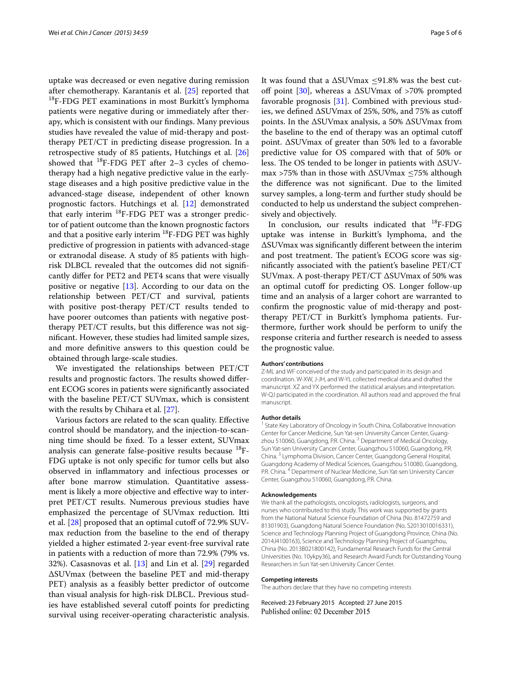uptake was decreased or even negative during remission after chemotherapy. Karantanis et al. [\[25](#page-5-22)] reported that <sup>18</sup>F-FDG PET examinations in most Burkitt's lymphoma patients were negative during or immediately after therapy, which is consistent with our findings. Many previous studies have revealed the value of mid-therapy and posttherapy PET/CT in predicting disease progression. In a retrospective study of 85 patients, Hutchings et al. [[26](#page-5-23)] showed that  $^{18}$ F-FDG PET after 2–3 cycles of chemotherapy had a high negative predictive value in the earlystage diseases and a high positive predictive value in the advanced-stage disease, independent of other known prognostic factors. Hutchings et al. [\[12\]](#page-5-10) demonstrated that early interim <sup>18</sup>F-FDG PET was a stronger predictor of patient outcome than the known prognostic factors and that a positive early interim <sup>18</sup>F-FDG PET was highly predictive of progression in patients with advanced-stage or extranodal disease. A study of 85 patients with highrisk DLBCL revealed that the outcomes did not significantly differ for PET2 and PET4 scans that were visually positive or negative  $[13]$  $[13]$ . According to our data on the relationship between PET/CT and survival, patients with positive post-therapy PET/CT results tended to have poorer outcomes than patients with negative posttherapy PET/CT results, but this difference was not significant. However, these studies had limited sample sizes, and more definitive answers to this question could be obtained through large-scale studies.

We investigated the relationships between PET/CT results and prognostic factors. The results showed different ECOG scores in patients were significantly associated with the baseline PET/CT SUVmax, which is consistent with the results by Chihara et al. [[27\]](#page-5-24).

Various factors are related to the scan quality. Effective control should be mandatory, and the injection-to-scanning time should be fixed. To a lesser extent, SUVmax analysis can generate false-positive results because <sup>18</sup>F-FDG uptake is not only specific for tumor cells but also observed in inflammatory and infectious processes or after bone marrow stimulation. Quantitative assessment is likely a more objective and effective way to interpret PET/CT results. Numerous previous studies have emphasized the percentage of SUVmax reduction. Itti et al. [\[28\]](#page-5-25) proposed that an optimal cutoff of 72.9% SUVmax reduction from the baseline to the end of therapy yielded a higher estimated 2-year event-free survival rate in patients with a reduction of more than 72.9% (79% vs. 32%). Casasnovas et al. [\[13](#page-5-11)] and Lin et al. [[29\]](#page-5-26) regarded ∆SUVmax (between the baseline PET and mid-therapy PET) analysis as a feasibly better predictor of outcome than visual analysis for high-risk DLBCL. Previous studies have established several cutoff points for predicting survival using receiver-operating characteristic analysis.

It was found that a ∆SUVmax ≤91.8% was the best cutoff point [\[30](#page-5-27)], whereas a ∆SUVmax of >70% prompted favorable prognosis [[31\]](#page-5-28). Combined with previous studies, we defined ∆SUVmax of 25%, 50%, and 75% as cutoff points. In the ∆SUVmax analysis, a 50% ∆SUVmax from the baseline to the end of therapy was an optimal cutoff point. ∆SUVmax of greater than 50% led to a favorable predictive value for OS compared with that of 50% or less. The OS tended to be longer in patients with ∆SUVmax >75% than in those with ∆SUVmax ≤75% although the difference was not significant. Due to the limited survey samples, a long-term and further study should be conducted to help us understand the subject comprehensively and objectively.

In conclusion, our results indicated that 18F-FDG uptake was intense in Burkitt's lymphoma, and the ∆SUVmax was significantly different between the interim and post treatment. The patient's ECOG score was significantly associated with the patient's baseline PET/CT SUVmax. A post-therapy PET/CT ∆SUVmax of 50% was an optimal cutoff for predicting OS. Longer follow-up time and an analysis of a larger cohort are warranted to confirm the prognostic value of mid-therapy and posttherapy PET/CT in Burkitt's lymphoma patients. Furthermore, further work should be perform to unify the response criteria and further research is needed to assess the prognostic value.

#### **Authors' contributions**

Z-ML and WF conceived of the study and participated in its design and coordination. W-XW, J-JH, and W-YL collected medical data and drafted the manuscript. XZ and YX performed the statistical analyses and interpretation. W-QJ participated in the coordination. All authors read and approved the final manuscript.

#### **Author details**

<sup>1</sup> State Key Laboratory of Oncology in South China, Collaborative Innovation Center for Cancer Medicine, Sun Yat-sen University Cancer Center, Guangzhou 510060, Guangdong, P.R. China. <sup>2</sup> Department of Medical Oncology, Sun Yat-sen University Cancer Center, Guangzhou 510060, Guangdong, P.R. China. 3 Lymphoma Division, Cancer Center, Guangdong General Hospital, Guangdong Academy of Medical Sciences, Guangzhou 510080, Guangdong, P.R. China. <sup>4</sup> Department of Nuclear Medicine, Sun Yat-sen University Cancer Center, Guangzhou 510060, Guangdong, P.R. China.

#### **Acknowledgements**

We thank all the pathologists, oncologists, radiologists, surgeons, and nurses who contributed to this study. This work was supported by grants from the National Natural Science Foundation of China (No. 81472759 and 81301903), Guangdong Natural Science Foundation (No. S2013010016331), Science and Technology Planning Project of Guangdong Province, China (No. 2014J4100163), Science and Technology Planning Project of Guangzhou, China (No. 2013B021800142), Fundamental Research Funds for the Central Universities (No. 10ykpy36), and Research Award Funds for Outstanding Young Researchers in Sun Yat-sen University Cancer Center.

#### **Competing interests**

The authors declare that they have no competing interests

Received: 23 February 2015 Accepted: 27 June 2015Published online: 02 December 2015